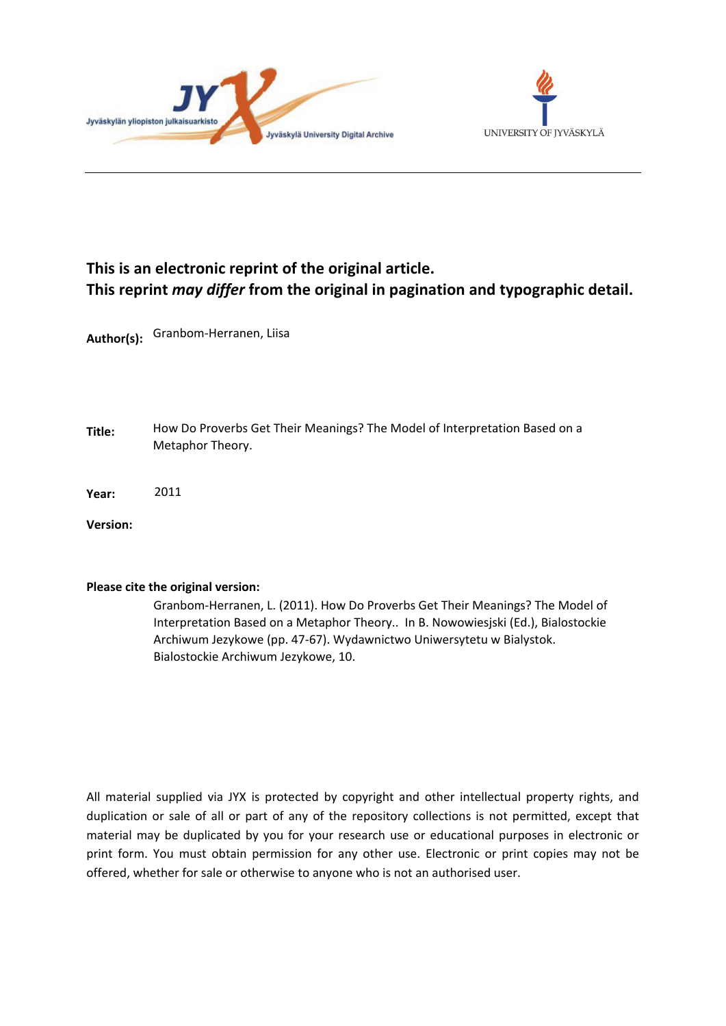



## **This is an electronic reprint of the original article. This reprint** *may differ* **from the original in pagination and typographic detail.**

**Author(s):**  Granbom-Herranen, Liisa

- **Title:** How Do Proverbs Get Their Meanings? The Model of Interpretation Based on a Metaphor Theory.
- **Year:**  2011

**Version:**

#### **Please cite the original version:**

Granbom-Herranen, L. (2011). How Do Proverbs Get Their Meanings? The Model of Interpretation Based on a Metaphor Theory.. In B. Nowowiesjski (Ed.), Bialostockie Archiwum Jezykowe (pp. 47-67). Wydawnictwo Uniwersytetu w Bialystok. Bialostockie Archiwum Jezykowe, 10.

All material supplied via JYX is protected by copyright and other intellectual property rights, and duplication or sale of all or part of any of the repository collections is not permitted, except that material may be duplicated by you for your research use or educational purposes in electronic or print form. You must obtain permission for any other use. Electronic or print copies may not be offered, whether for sale or otherwise to anyone who is not an authorised user.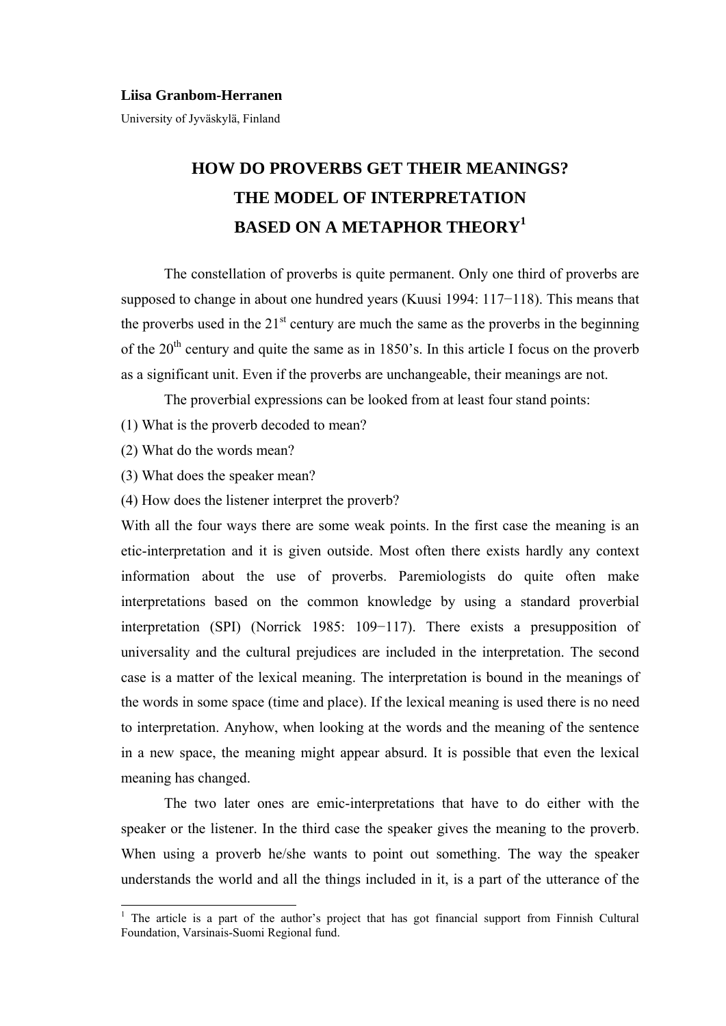#### **Liisa Granbom-Herranen**

University of Jyväskylä, Finland

# **HOW DO PROVERBS GET THEIR MEANINGS? THE MODEL OF INTERPRETATION BASED ON A METAPHOR THEORY<sup>1</sup>**

The constellation of proverbs is quite permanent. Only one third of proverbs are supposed to change in about one hundred years (Kuusi 1994: 117−118). This means that the proverbs used in the  $21<sup>st</sup>$  century are much the same as the proverbs in the beginning of the  $20<sup>th</sup>$  century and quite the same as in 1850's. In this article I focus on the proverb as a significant unit. Even if the proverbs are unchangeable, their meanings are not.

The proverbial expressions can be looked from at least four stand points:

- (1) What is the proverb decoded to mean?
- (2) What do the words mean?

-

- (3) What does the speaker mean?
- (4) How does the listener interpret the proverb?

With all the four ways there are some weak points. In the first case the meaning is an etic-interpretation and it is given outside. Most often there exists hardly any context information about the use of proverbs. Paremiologists do quite often make interpretations based on the common knowledge by using a standard proverbial interpretation (SPI) (Norrick 1985: 109−117). There exists a presupposition of universality and the cultural prejudices are included in the interpretation. The second case is a matter of the lexical meaning. The interpretation is bound in the meanings of the words in some space (time and place). If the lexical meaning is used there is no need to interpretation. Anyhow, when looking at the words and the meaning of the sentence in a new space, the meaning might appear absurd. It is possible that even the lexical meaning has changed.

The two later ones are emic-interpretations that have to do either with the speaker or the listener. In the third case the speaker gives the meaning to the proverb. When using a proverb he/she wants to point out something. The way the speaker understands the world and all the things included in it, is a part of the utterance of the

<sup>&</sup>lt;sup>1</sup> The article is a part of the author's project that has got financial support from Finnish Cultural Foundation, Varsinais-Suomi Regional fund.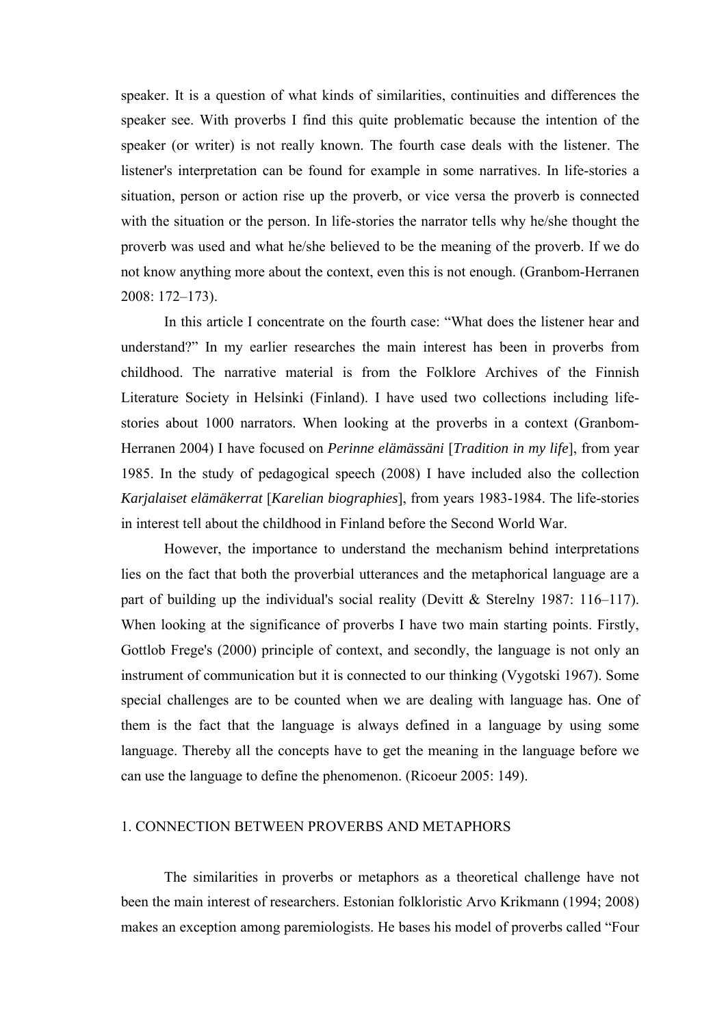speaker. It is a question of what kinds of similarities, continuities and differences the speaker see. With proverbs I find this quite problematic because the intention of the speaker (or writer) is not really known. The fourth case deals with the listener. The listener's interpretation can be found for example in some narratives. In life-stories a situation, person or action rise up the proverb, or vice versa the proverb is connected with the situation or the person. In life-stories the narrator tells why he/she thought the proverb was used and what he/she believed to be the meaning of the proverb. If we do not know anything more about the context, even this is not enough. (Granbom-Herranen 2008: 172–173).

In this article I concentrate on the fourth case: "What does the listener hear and understand?" In my earlier researches the main interest has been in proverbs from childhood. The narrative material is from the Folklore Archives of the Finnish Literature Society in Helsinki (Finland). I have used two collections including lifestories about 1000 narrators. When looking at the proverbs in a context (Granbom-Herranen 2004) I have focused on *Perinne elämässäni* [*Tradition in my life*], from year 1985. In the study of pedagogical speech (2008) I have included also the collection *Karjalaiset elämäkerrat* [*Karelian biographies*], from years 1983-1984. The life-stories in interest tell about the childhood in Finland before the Second World War.

However, the importance to understand the mechanism behind interpretations lies on the fact that both the proverbial utterances and the metaphorical language are a part of building up the individual's social reality (Devitt & Sterelny 1987: 116–117). When looking at the significance of proverbs I have two main starting points. Firstly, Gottlob Frege's (2000) principle of context, and secondly, the language is not only an instrument of communication but it is connected to our thinking (Vygotski 1967). Some special challenges are to be counted when we are dealing with language has. One of them is the fact that the language is always defined in a language by using some language. Thereby all the concepts have to get the meaning in the language before we can use the language to define the phenomenon. (Ricoeur 2005: 149).

## 1. CONNECTION BETWEEN PROVERBS AND METAPHORS

The similarities in proverbs or metaphors as a theoretical challenge have not been the main interest of researchers. Estonian folkloristic Arvo Krikmann (1994; 2008) makes an exception among paremiologists. He bases his model of proverbs called "Four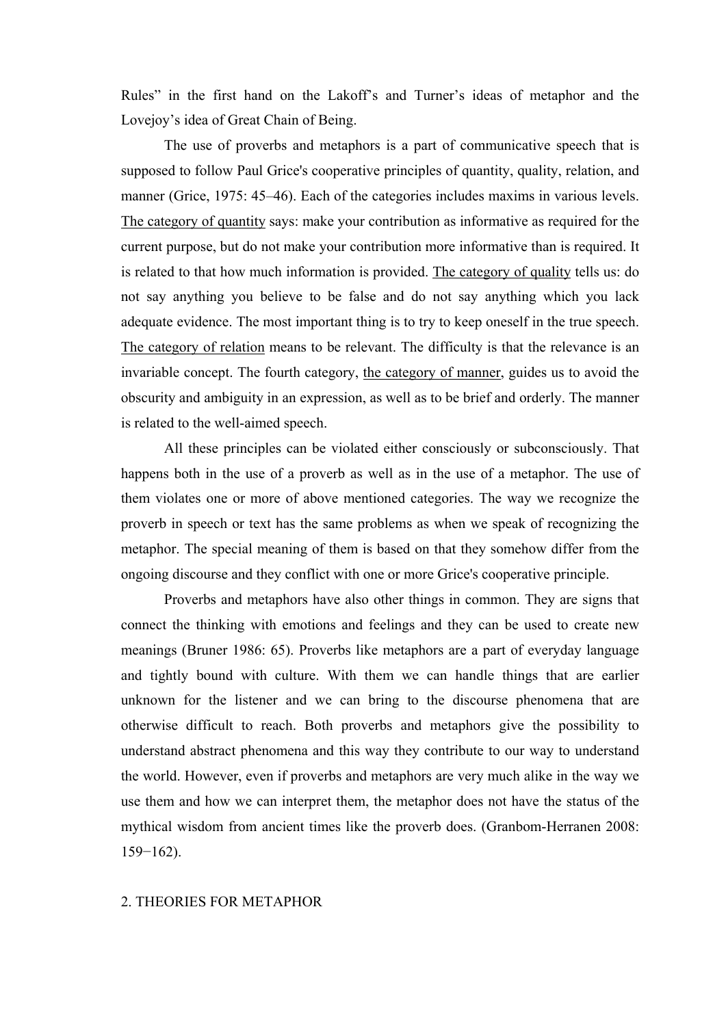Rules" in the first hand on the Lakoff's and Turner's ideas of metaphor and the Lovejoy's idea of Great Chain of Being.

The use of proverbs and metaphors is a part of communicative speech that is supposed to follow Paul Grice's cooperative principles of quantity, quality, relation, and manner (Grice, 1975: 45–46). Each of the categories includes maxims in various levels. The category of quantity says: make your contribution as informative as required for the current purpose, but do not make your contribution more informative than is required. It is related to that how much information is provided. The category of quality tells us: do not say anything you believe to be false and do not say anything which you lack adequate evidence. The most important thing is to try to keep oneself in the true speech. The category of relation means to be relevant. The difficulty is that the relevance is an invariable concept. The fourth category, the category of manner, guides us to avoid the obscurity and ambiguity in an expression, as well as to be brief and orderly. The manner is related to the well-aimed speech.

All these principles can be violated either consciously or subconsciously. That happens both in the use of a proverb as well as in the use of a metaphor. The use of them violates one or more of above mentioned categories. The way we recognize the proverb in speech or text has the same problems as when we speak of recognizing the metaphor. The special meaning of them is based on that they somehow differ from the ongoing discourse and they conflict with one or more Grice's cooperative principle.

Proverbs and metaphors have also other things in common. They are signs that connect the thinking with emotions and feelings and they can be used to create new meanings (Bruner 1986: 65). Proverbs like metaphors are a part of everyday language and tightly bound with culture. With them we can handle things that are earlier unknown for the listener and we can bring to the discourse phenomena that are otherwise difficult to reach. Both proverbs and metaphors give the possibility to understand abstract phenomena and this way they contribute to our way to understand the world. However, even if proverbs and metaphors are very much alike in the way we use them and how we can interpret them, the metaphor does not have the status of the mythical wisdom from ancient times like the proverb does. (Granbom-Herranen 2008: 159−162).

#### 2. THEORIES FOR METAPHOR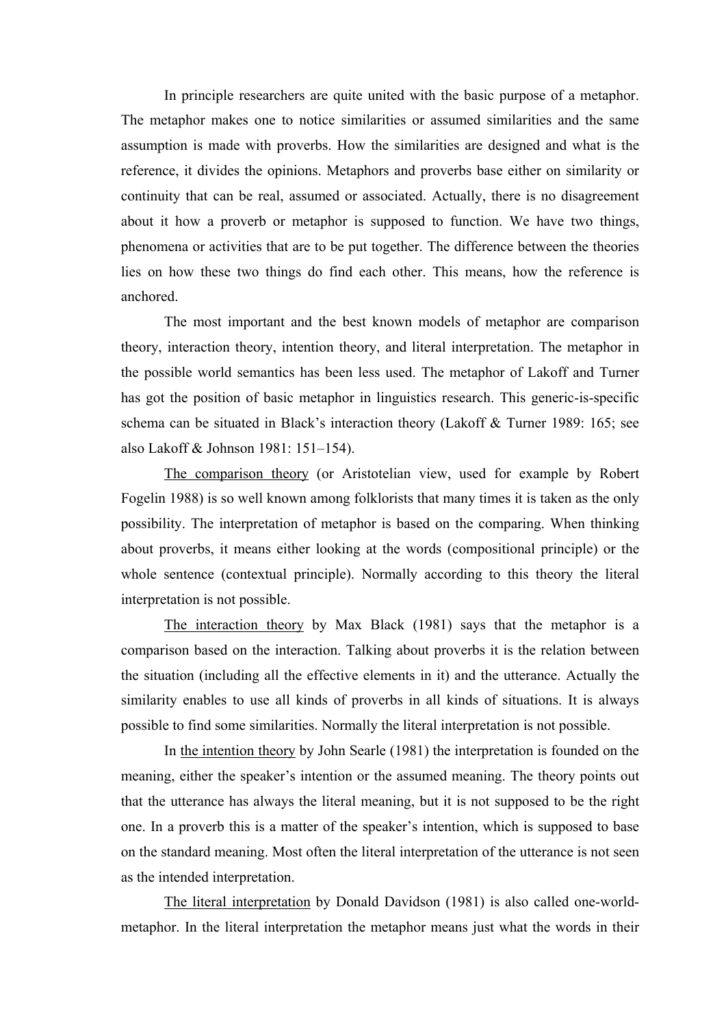In principle researchers are quite united with the basic purpose of a metaphor. The metaphor makes one to notice similarities or assumed similarities and the same assumption is made with proverbs. How the similarities are designed and what is the reference, it divides the opinions. Metaphors and proverbs base either on similarity or continuity that can be real, assumed or associated. Actually, there is no disagreement about it how a proverb or metaphor is supposed to function. We have two things, phenomena or activities that are to be put together. The difference between the theories lies on how these two things do find each other. This means, how the reference is anchored.

The most important and the best known models of metaphor are comparison theory, interaction theory, intention theory, and literal interpretation. The metaphor in the possible world semantics has been less used. The metaphor of Lakoff and Turner has got the position of basic metaphor in linguistics research. This generic-is-specific schema can be situated in Black's interaction theory (Lakoff & Turner 1989: 165; see also Lakoff & Johnson 1981: 151–154).

The comparison theory (or Aristotelian view, used for example by Robert Fogelin 1988) is so well known among folklorists that many times it is taken as the only possibility. The interpretation of metaphor is based on the comparing. When thinking about proverbs, it means either looking at the words (compositional principle) or the whole sentence (contextual principle). Normally according to this theory the literal interpretation is not possible.

The interaction theory by Max Black (1981) says that the metaphor is a comparison based on the interaction. Talking about proverbs it is the relation between the situation (including all the effective elements in it) and the utterance. Actually the similarity enables to use all kinds of proverbs in all kinds of situations. It is always possible to find some similarities. Normally the literal interpretation is not possible.

In the intention theory by John Searle (1981) the interpretation is founded on the meaning, either the speaker's intention or the assumed meaning. The theory points out that the utterance has always the literal meaning, but it is not supposed to be the right one. In a proverb this is a matter of the speaker's intention, which is supposed to base on the standard meaning. Most often the literal interpretation of the utterance is not seen as the intended interpretation.

The literal interpretation by Donald Davidson (1981) is also called one-worldmetaphor. In the literal interpretation the metaphor means just what the words in their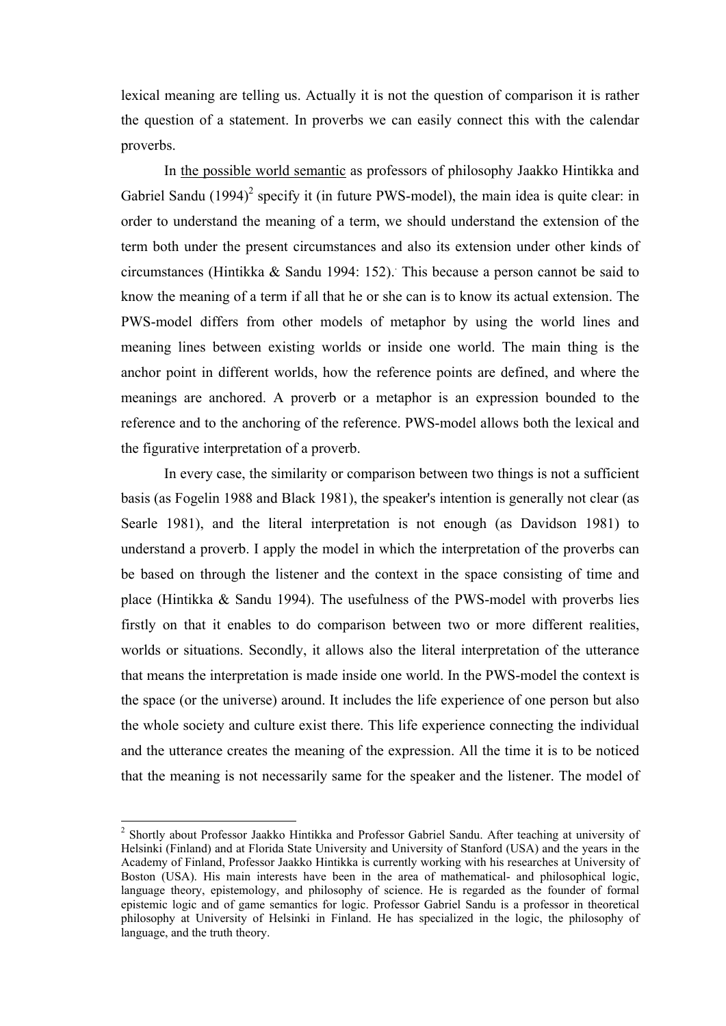lexical meaning are telling us. Actually it is not the question of comparison it is rather the question of a statement. In proverbs we can easily connect this with the calendar proverbs.

In the possible world semantic as professors of philosophy Jaakko Hintikka and Gabriel Sandu  $(1994)^2$  specify it (in future PWS-model), the main idea is quite clear: in order to understand the meaning of a term, we should understand the extension of the term both under the present circumstances and also its extension under other kinds of circumstances (Hintikka & Sandu 1994: 152).. This because a person cannot be said to know the meaning of a term if all that he or she can is to know its actual extension. The PWS-model differs from other models of metaphor by using the world lines and meaning lines between existing worlds or inside one world. The main thing is the anchor point in different worlds, how the reference points are defined, and where the meanings are anchored. A proverb or a metaphor is an expression bounded to the reference and to the anchoring of the reference. PWS-model allows both the lexical and the figurative interpretation of a proverb.

In every case, the similarity or comparison between two things is not a sufficient basis (as Fogelin 1988 and Black 1981), the speaker's intention is generally not clear (as Searle 1981), and the literal interpretation is not enough (as Davidson 1981) to understand a proverb. I apply the model in which the interpretation of the proverbs can be based on through the listener and the context in the space consisting of time and place (Hintikka & Sandu 1994). The usefulness of the PWS-model with proverbs lies firstly on that it enables to do comparison between two or more different realities, worlds or situations. Secondly, it allows also the literal interpretation of the utterance that means the interpretation is made inside one world. In the PWS-model the context is the space (or the universe) around. It includes the life experience of one person but also the whole society and culture exist there. This life experience connecting the individual and the utterance creates the meaning of the expression. All the time it is to be noticed that the meaning is not necessarily same for the speaker and the listener. The model of

-

<sup>&</sup>lt;sup>2</sup> Shortly about Professor Jaakko Hintikka and Professor Gabriel Sandu. After teaching at university of Helsinki (Finland) and at Florida State University and University of Stanford (USA) and the years in the Academy of Finland, Professor Jaakko Hintikka is currently working with his researches at University of Boston (USA). His main interests have been in the area of mathematical- and philosophical logic, language theory, epistemology, and philosophy of science. He is regarded as the founder of formal epistemic logic and of game semantics for logic. Professor Gabriel Sandu is a professor in theoretical philosophy at University of Helsinki in Finland. He has specialized in the logic, the philosophy of language, and the truth theory.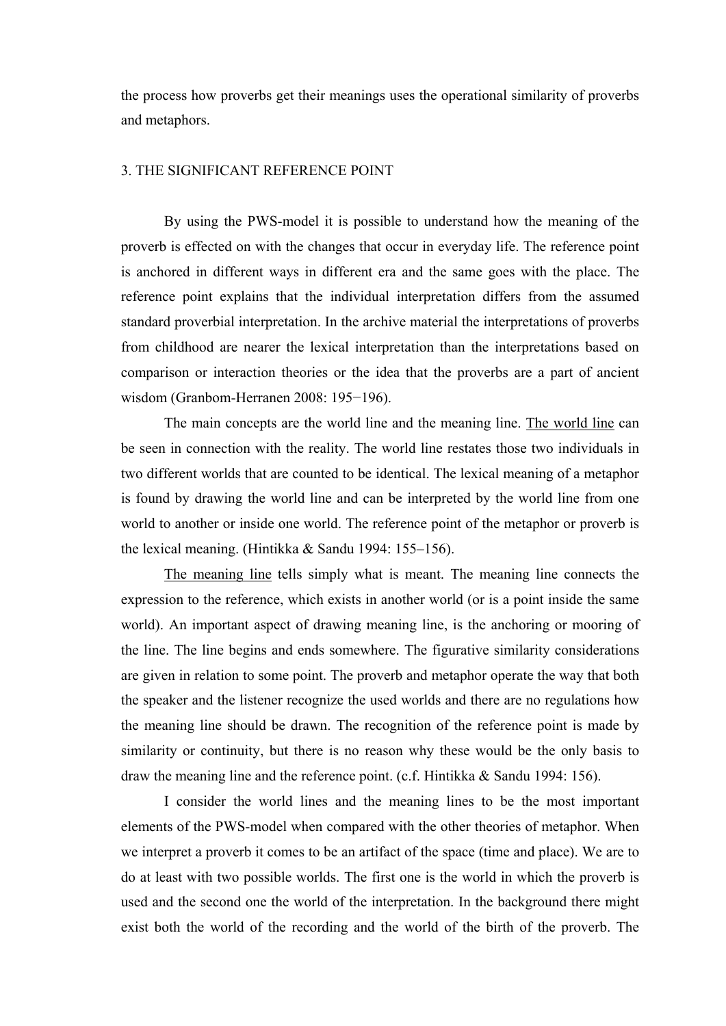the process how proverbs get their meanings uses the operational similarity of proverbs and metaphors.

### 3. THE SIGNIFICANT REFERENCE POINT

By using the PWS-model it is possible to understand how the meaning of the proverb is effected on with the changes that occur in everyday life. The reference point is anchored in different ways in different era and the same goes with the place. The reference point explains that the individual interpretation differs from the assumed standard proverbial interpretation. In the archive material the interpretations of proverbs from childhood are nearer the lexical interpretation than the interpretations based on comparison or interaction theories or the idea that the proverbs are a part of ancient wisdom (Granbom-Herranen 2008: 195−196).

The main concepts are the world line and the meaning line. The world line can be seen in connection with the reality. The world line restates those two individuals in two different worlds that are counted to be identical. The lexical meaning of a metaphor is found by drawing the world line and can be interpreted by the world line from one world to another or inside one world. The reference point of the metaphor or proverb is the lexical meaning. (Hintikka & Sandu 1994: 155–156).

The meaning line tells simply what is meant. The meaning line connects the expression to the reference, which exists in another world (or is a point inside the same world). An important aspect of drawing meaning line, is the anchoring or mooring of the line. The line begins and ends somewhere. The figurative similarity considerations are given in relation to some point. The proverb and metaphor operate the way that both the speaker and the listener recognize the used worlds and there are no regulations how the meaning line should be drawn. The recognition of the reference point is made by similarity or continuity, but there is no reason why these would be the only basis to draw the meaning line and the reference point. (c.f. Hintikka & Sandu 1994: 156).

I consider the world lines and the meaning lines to be the most important elements of the PWS-model when compared with the other theories of metaphor. When we interpret a proverb it comes to be an artifact of the space (time and place). We are to do at least with two possible worlds. The first one is the world in which the proverb is used and the second one the world of the interpretation. In the background there might exist both the world of the recording and the world of the birth of the proverb. The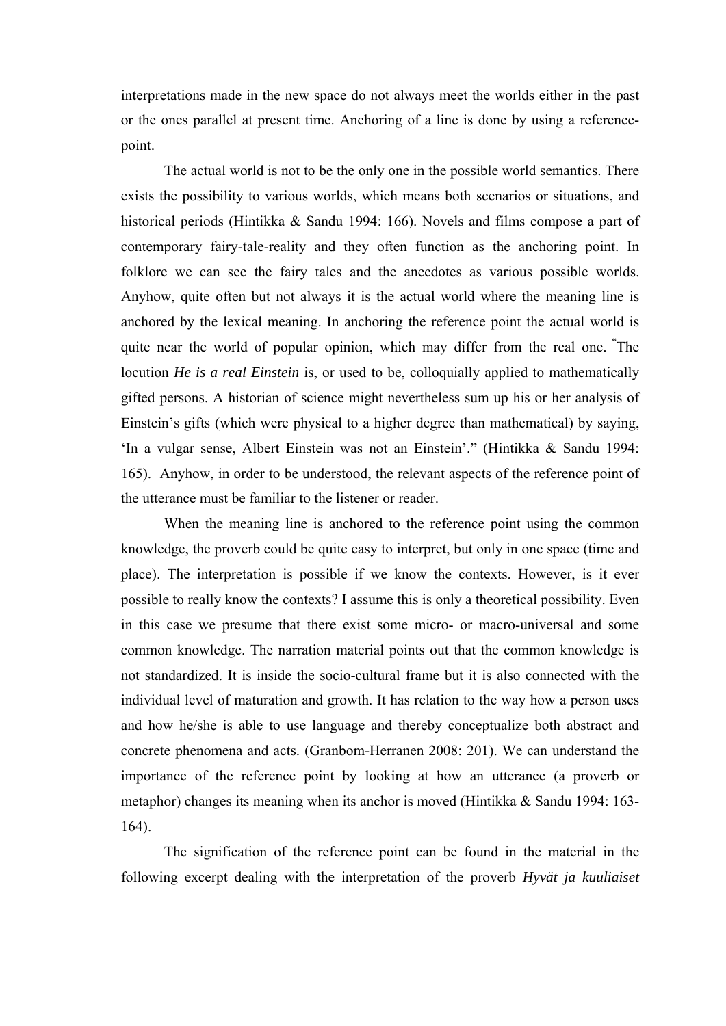interpretations made in the new space do not always meet the worlds either in the past or the ones parallel at present time. Anchoring of a line is done by using a referencepoint.

The actual world is not to be the only one in the possible world semantics. There exists the possibility to various worlds, which means both scenarios or situations, and historical periods (Hintikka & Sandu 1994: 166). Novels and films compose a part of contemporary fairy-tale-reality and they often function as the anchoring point. In folklore we can see the fairy tales and the anecdotes as various possible worlds. Anyhow, quite often but not always it is the actual world where the meaning line is anchored by the lexical meaning. In anchoring the reference point the actual world is quite near the world of popular opinion, which may differ from the real one. "The locution *He is a real Einstein* is, or used to be, colloquially applied to mathematically gifted persons. A historian of science might nevertheless sum up his or her analysis of Einstein's gifts (which were physical to a higher degree than mathematical) by saying, 'In a vulgar sense, Albert Einstein was not an Einstein'." (Hintikka & Sandu 1994: 165). Anyhow, in order to be understood, the relevant aspects of the reference point of the utterance must be familiar to the listener or reader.

When the meaning line is anchored to the reference point using the common knowledge, the proverb could be quite easy to interpret, but only in one space (time and place). The interpretation is possible if we know the contexts. However, is it ever possible to really know the contexts? I assume this is only a theoretical possibility. Even in this case we presume that there exist some micro- or macro-universal and some common knowledge. The narration material points out that the common knowledge is not standardized. It is inside the socio-cultural frame but it is also connected with the individual level of maturation and growth. It has relation to the way how a person uses and how he/she is able to use language and thereby conceptualize both abstract and concrete phenomena and acts. (Granbom-Herranen 2008: 201). We can understand the importance of the reference point by looking at how an utterance (a proverb or metaphor) changes its meaning when its anchor is moved (Hintikka & Sandu 1994: 163- 164).

The signification of the reference point can be found in the material in the following excerpt dealing with the interpretation of the proverb *Hyvät ja kuuliaiset*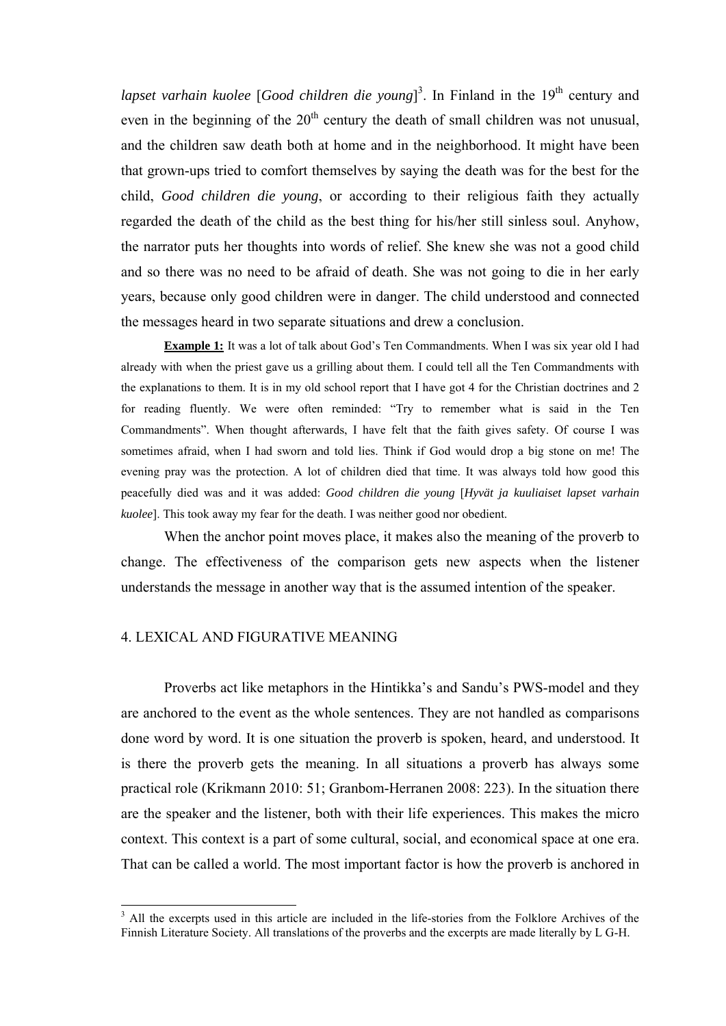lapset varhain kuolee [*Good children die young*]<sup>3</sup>. In Finland in the 19<sup>th</sup> century and even in the beginning of the  $20<sup>th</sup>$  century the death of small children was not unusual, and the children saw death both at home and in the neighborhood. It might have been that grown-ups tried to comfort themselves by saying the death was for the best for the child, *Good children die young*, or according to their religious faith they actually regarded the death of the child as the best thing for his/her still sinless soul. Anyhow, the narrator puts her thoughts into words of relief. She knew she was not a good child and so there was no need to be afraid of death. She was not going to die in her early years, because only good children were in danger. The child understood and connected the messages heard in two separate situations and drew a conclusion.

**Example 1:** It was a lot of talk about God's Ten Commandments. When I was six year old I had already with when the priest gave us a grilling about them. I could tell all the Ten Commandments with the explanations to them. It is in my old school report that I have got 4 for the Christian doctrines and 2 for reading fluently. We were often reminded: "Try to remember what is said in the Ten Commandments". When thought afterwards, I have felt that the faith gives safety. Of course I was sometimes afraid, when I had sworn and told lies. Think if God would drop a big stone on me! The evening pray was the protection. A lot of children died that time. It was always told how good this peacefully died was and it was added: *Good children die young* [*Hyvät ja kuuliaiset lapset varhain kuolee*]. This took away my fear for the death. I was neither good nor obedient.

When the anchor point moves place, it makes also the meaning of the proverb to change. The effectiveness of the comparison gets new aspects when the listener understands the message in another way that is the assumed intention of the speaker.

## 4. LEXICAL AND FIGURATIVE MEANING

-

Proverbs act like metaphors in the Hintikka's and Sandu's PWS-model and they are anchored to the event as the whole sentences. They are not handled as comparisons done word by word. It is one situation the proverb is spoken, heard, and understood. It is there the proverb gets the meaning. In all situations a proverb has always some practical role (Krikmann 2010: 51; Granbom-Herranen 2008: 223). In the situation there are the speaker and the listener, both with their life experiences. This makes the micro context. This context is a part of some cultural, social, and economical space at one era. That can be called a world. The most important factor is how the proverb is anchored in

<sup>3</sup> All the excerpts used in this article are included in the life-stories from the Folklore Archives of the Finnish Literature Society. All translations of the proverbs and the excerpts are made literally by L G-H.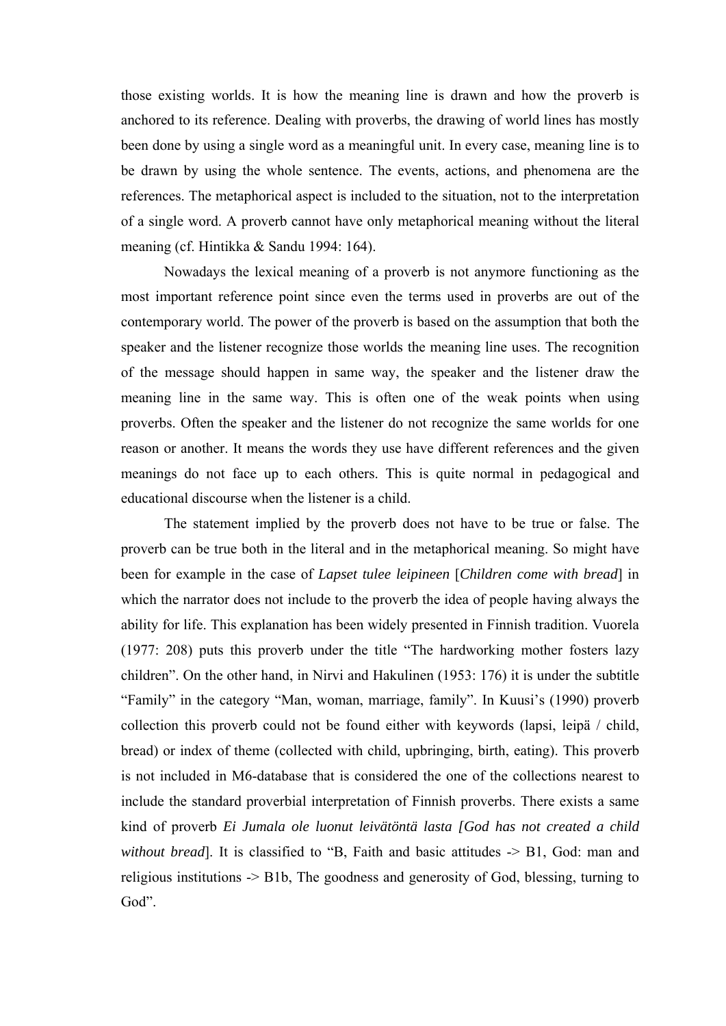those existing worlds. It is how the meaning line is drawn and how the proverb is anchored to its reference. Dealing with proverbs, the drawing of world lines has mostly been done by using a single word as a meaningful unit. In every case, meaning line is to be drawn by using the whole sentence. The events, actions, and phenomena are the references. The metaphorical aspect is included to the situation, not to the interpretation of a single word. A proverb cannot have only metaphorical meaning without the literal meaning (cf. Hintikka & Sandu 1994: 164).

Nowadays the lexical meaning of a proverb is not anymore functioning as the most important reference point since even the terms used in proverbs are out of the contemporary world. The power of the proverb is based on the assumption that both the speaker and the listener recognize those worlds the meaning line uses. The recognition of the message should happen in same way, the speaker and the listener draw the meaning line in the same way. This is often one of the weak points when using proverbs. Often the speaker and the listener do not recognize the same worlds for one reason or another. It means the words they use have different references and the given meanings do not face up to each others. This is quite normal in pedagogical and educational discourse when the listener is a child.

The statement implied by the proverb does not have to be true or false. The proverb can be true both in the literal and in the metaphorical meaning. So might have been for example in the case of *Lapset tulee leipineen* [*Children come with bread*] in which the narrator does not include to the proverb the idea of people having always the ability for life. This explanation has been widely presented in Finnish tradition. Vuorela (1977: 208) puts this proverb under the title "The hardworking mother fosters lazy children". On the other hand, in Nirvi and Hakulinen (1953: 176) it is under the subtitle "Family" in the category "Man, woman, marriage, family". In Kuusi's (1990) proverb collection this proverb could not be found either with keywords (lapsi, leipä / child, bread) or index of theme (collected with child, upbringing, birth, eating). This proverb is not included in M6-database that is considered the one of the collections nearest to include the standard proverbial interpretation of Finnish proverbs. There exists a same kind of proverb *Ei Jumala ole luonut leivätöntä lasta [God has not created a child without bread*]. It is classified to "B, Faith and basic attitudes -> B1, God: man and religious institutions -> B1b, The goodness and generosity of God, blessing, turning to God".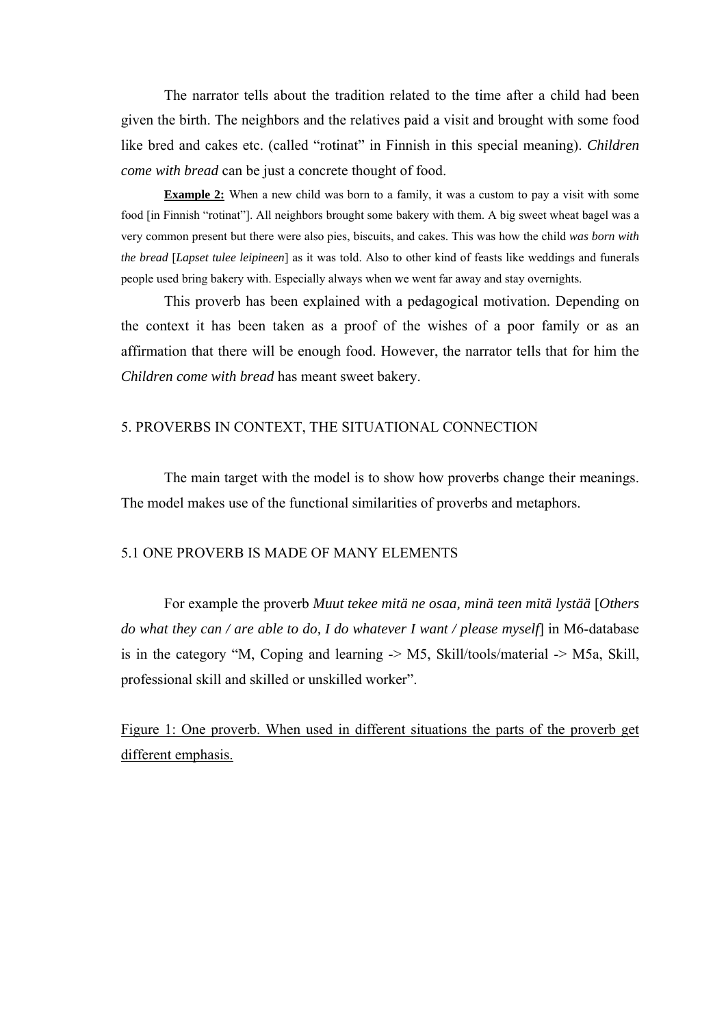The narrator tells about the tradition related to the time after a child had been given the birth. The neighbors and the relatives paid a visit and brought with some food like bred and cakes etc. (called "rotinat" in Finnish in this special meaning). *Children come with bread* can be just a concrete thought of food.

**Example 2:** When a new child was born to a family, it was a custom to pay a visit with some food [in Finnish "rotinat"]. All neighbors brought some bakery with them. A big sweet wheat bagel was a very common present but there were also pies, biscuits, and cakes. This was how the child *was born with the bread* [*Lapset tulee leipineen*] as it was told. Also to other kind of feasts like weddings and funerals people used bring bakery with. Especially always when we went far away and stay overnights.

This proverb has been explained with a pedagogical motivation. Depending on the context it has been taken as a proof of the wishes of a poor family or as an affirmation that there will be enough food. However, the narrator tells that for him the *Children come with bread* has meant sweet bakery.

### 5. PROVERBS IN CONTEXT, THE SITUATIONAL CONNECTION

The main target with the model is to show how proverbs change their meanings. The model makes use of the functional similarities of proverbs and metaphors.

## 5.1 ONE PROVERB IS MADE OF MANY ELEMENTS

For example the proverb *Muut tekee mitä ne osaa, minä teen mitä lystää* [*Others do what they can / are able to do, I do whatever I want / please myself*] in M6-database is in the category "M, Coping and learning -> M5, Skill/tools/material -> M5a, Skill, professional skill and skilled or unskilled worker".

Figure 1: One proverb. When used in different situations the parts of the proverb get different emphasis.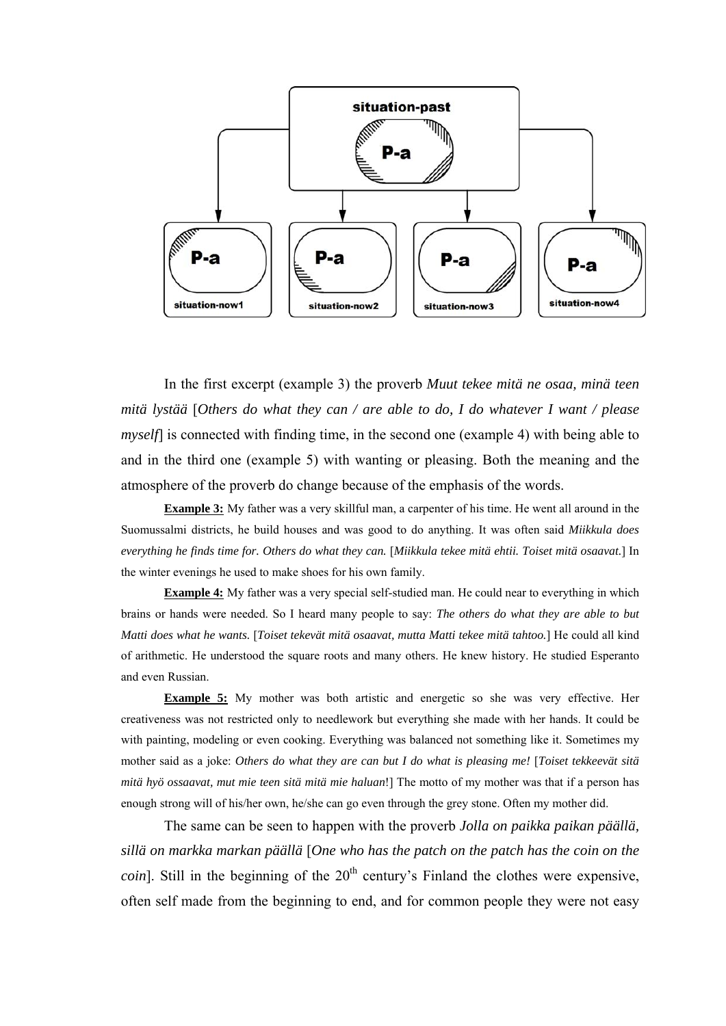

In the first excerpt (example 3) the proverb *Muut tekee mitä ne osaa, minä teen mitä lystää* [*Others do what they can / are able to do, I do whatever I want / please myself* is connected with finding time, in the second one (example 4) with being able to and in the third one (example 5) with wanting or pleasing. Both the meaning and the atmosphere of the proverb do change because of the emphasis of the words.

**Example 3:** My father was a very skillful man, a carpenter of his time. He went all around in the Suomussalmi districts, he build houses and was good to do anything. It was often said *Miikkula does everything he finds time for. Others do what they can.* [*Miikkula tekee mitä ehtii. Toiset mitä osaavat.*] In the winter evenings he used to make shoes for his own family.

**Example 4:** My father was a very special self-studied man. He could near to everything in which brains or hands were needed. So I heard many people to say: *The others do what they are able to but Matti does what he wants.* [*Toiset tekevät mitä osaavat, mutta Matti tekee mitä tahtoo.*] He could all kind of arithmetic. He understood the square roots and many others. He knew history. He studied Esperanto and even Russian.

**Example 5:** My mother was both artistic and energetic so she was very effective. Her creativeness was not restricted only to needlework but everything she made with her hands. It could be with painting, modeling or even cooking. Everything was balanced not something like it. Sometimes my mother said as a joke: *Others do what they are can but I do what is pleasing me!* [*Toiset tekkeevät sitä mitä hyö ossaavat, mut mie teen sitä mitä mie haluan*!] The motto of my mother was that if a person has enough strong will of his/her own, he/she can go even through the grey stone. Often my mother did.

The same can be seen to happen with the proverb *Jolla on paikka paikan päällä, sillä on markka markan päällä* [*One who has the patch on the patch has the coin on the coin*]. Still in the beginning of the  $20<sup>th</sup>$  century's Finland the clothes were expensive, often self made from the beginning to end, and for common people they were not easy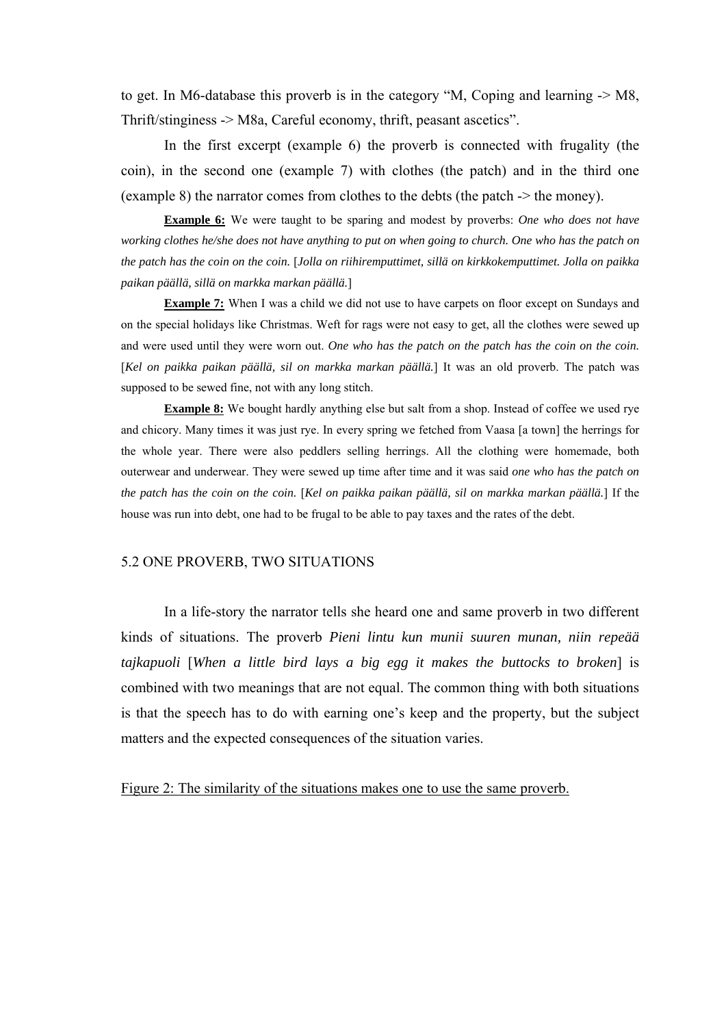to get. In M6-database this proverb is in the category "M, Coping and learning -> M8, Thrift/stinginess -> M8a, Careful economy, thrift, peasant ascetics".

In the first excerpt (example 6) the proverb is connected with frugality (the coin), in the second one (example 7) with clothes (the patch) and in the third one (example 8) the narrator comes from clothes to the debts (the patch -> the money).

**Example 6:** We were taught to be sparing and modest by proverbs: *One who does not have working clothes he/she does not have anything to put on when going to church. One who has the patch on the patch has the coin on the coin.* [*Jolla on riihiremputtimet, sillä on kirkkokemputtimet. Jolla on paikka paikan päällä, sillä on markka markan päällä.*]

**Example 7:** When I was a child we did not use to have carpets on floor except on Sundays and on the special holidays like Christmas. Weft for rags were not easy to get, all the clothes were sewed up and were used until they were worn out. *One who has the patch on the patch has the coin on the coin.*  [*Kel on paikka paikan päällä, sil on markka markan päällä.*] It was an old proverb. The patch was supposed to be sewed fine, not with any long stitch.

**Example 8:** We bought hardly anything else but salt from a shop. Instead of coffee we used rye and chicory. Many times it was just rye. In every spring we fetched from Vaasa [a town] the herrings for the whole year. There were also peddlers selling herrings. All the clothing were homemade, both outerwear and underwear. They were sewed up time after time and it was said *one who has the patch on the patch has the coin on the coin.* [*Kel on paikka paikan päällä, sil on markka markan päällä.*] If the house was run into debt, one had to be frugal to be able to pay taxes and the rates of the debt.

#### 5.2 ONE PROVERB, TWO SITUATIONS

In a life-story the narrator tells she heard one and same proverb in two different kinds of situations. The proverb *Pieni lintu kun munii suuren munan, niin repeää tajkapuoli* [*When a little bird lays a big egg it makes the buttocks to broken*] is combined with two meanings that are not equal. The common thing with both situations is that the speech has to do with earning one's keep and the property, but the subject matters and the expected consequences of the situation varies.

Figure 2: The similarity of the situations makes one to use the same proverb.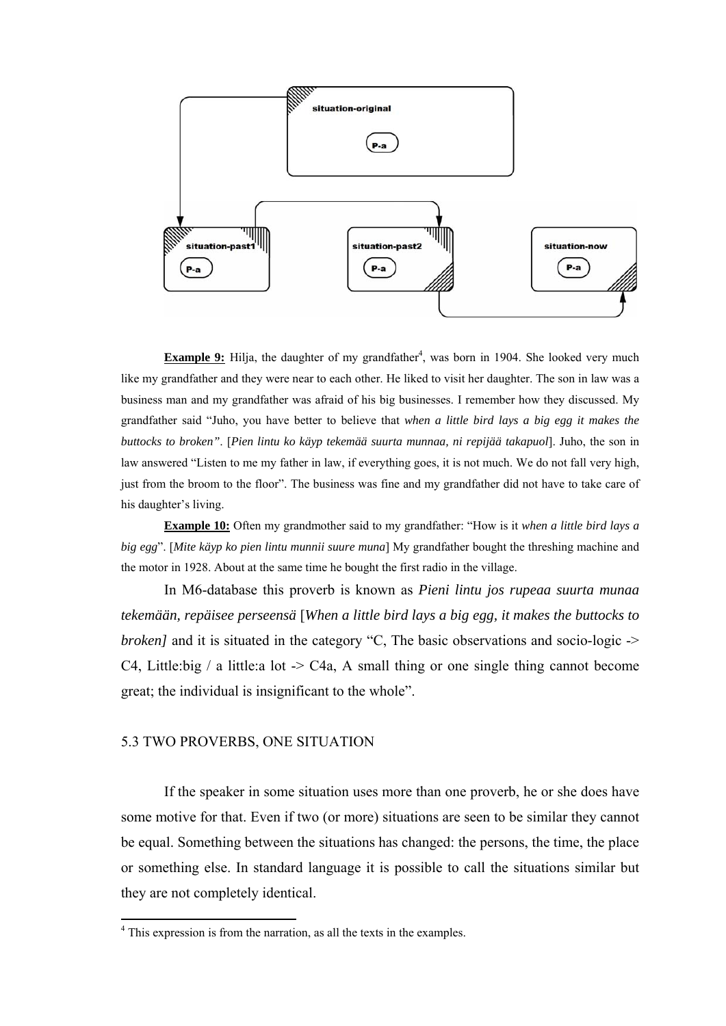

**Example 9:** Hilja, the daughter of my grandfather<sup>4</sup>, was born in 1904. She looked very much like my grandfather and they were near to each other. He liked to visit her daughter. The son in law was a business man and my grandfather was afraid of his big businesses. I remember how they discussed. My grandfather said "Juho, you have better to believe that *when a little bird lays a big egg it makes the buttocks to broken"*. [*Pien lintu ko käyp tekemää suurta munnaa, ni repijää takapuol*]. Juho, the son in law answered "Listen to me my father in law, if everything goes, it is not much. We do not fall very high, just from the broom to the floor". The business was fine and my grandfather did not have to take care of his daughter's living.

**Example 10:** Often my grandmother said to my grandfather: "How is it *when a little bird lays a big egg*". [*Mite käyp ko pien lintu munnii suure muna*] My grandfather bought the threshing machine and the motor in 1928. About at the same time he bought the first radio in the village.

In M6-database this proverb is known as *Pieni lintu jos rupeaa suurta munaa tekemään, repäisee perseensä* [*When a little bird lays a big egg, it makes the buttocks to broken]* and it is situated in the category "C, The basic observations and socio-logic -> C4, Little:big / a little:a lot  $\geq$  C4a, A small thing or one single thing cannot become great; the individual is insignificant to the whole".

## 5.3 TWO PROVERBS, ONE SITUATION

If the speaker in some situation uses more than one proverb, he or she does have some motive for that. Even if two (or more) situations are seen to be similar they cannot be equal. Something between the situations has changed: the persons, the time, the place or something else. In standard language it is possible to call the situations similar but they are not completely identical.

 4 This expression is from the narration, as all the texts in the examples.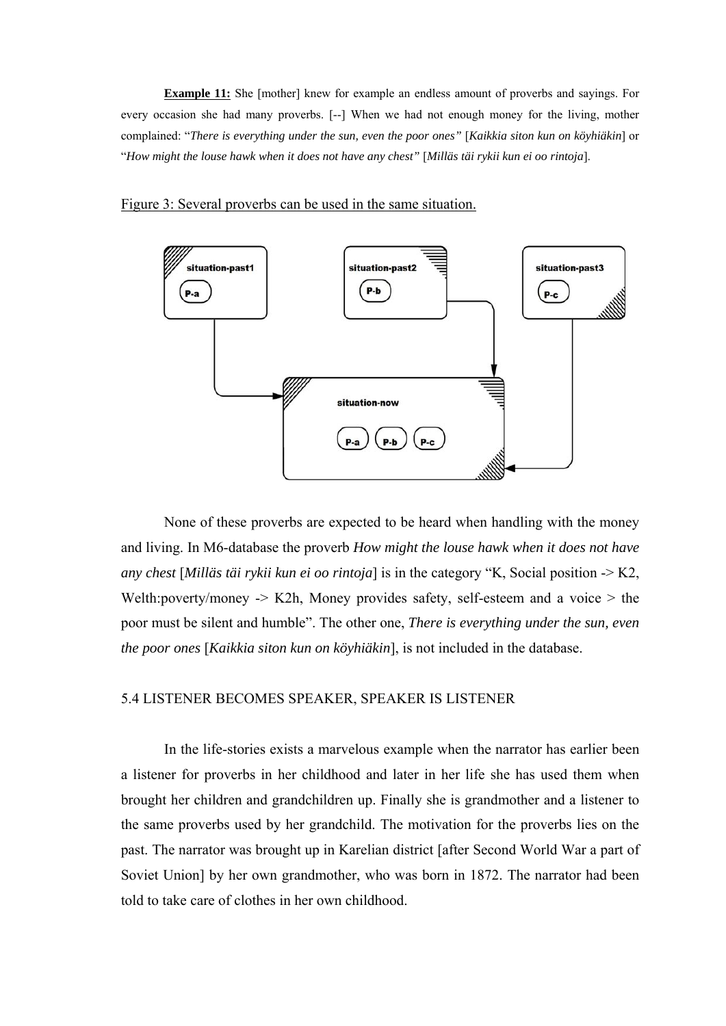**Example 11:** She [mother] knew for example an endless amount of proverbs and sayings. For every occasion she had many proverbs. [--] When we had not enough money for the living, mother complained: "*There is everything under the sun, even the poor ones"* [*Kaikkia siton kun on köyhiäkin*] or "*How might the louse hawk when it does not have any chest"* [*Milläs täi rykii kun ei oo rintoja*].

#### Figure 3: Several proverbs can be used in the same situation.



None of these proverbs are expected to be heard when handling with the money and living. In M6-database the proverb *How might the louse hawk when it does not have any chest* [*Milläs täi rykii kun ei oo rintoja*] is in the category "K, Social position -> K2, Welth:poverty/money  $\rightarrow$  K2h, Money provides safety, self-esteem and a voice  $>$  the poor must be silent and humble". The other one, *There is everything under the sun, even the poor ones* [*Kaikkia siton kun on köyhiäkin*], is not included in the database.

#### 5.4 LISTENER BECOMES SPEAKER, SPEAKER IS LISTENER

In the life-stories exists a marvelous example when the narrator has earlier been a listener for proverbs in her childhood and later in her life she has used them when brought her children and grandchildren up. Finally she is grandmother and a listener to the same proverbs used by her grandchild. The motivation for the proverbs lies on the past. The narrator was brought up in Karelian district [after Second World War a part of Soviet Union] by her own grandmother, who was born in 1872. The narrator had been told to take care of clothes in her own childhood.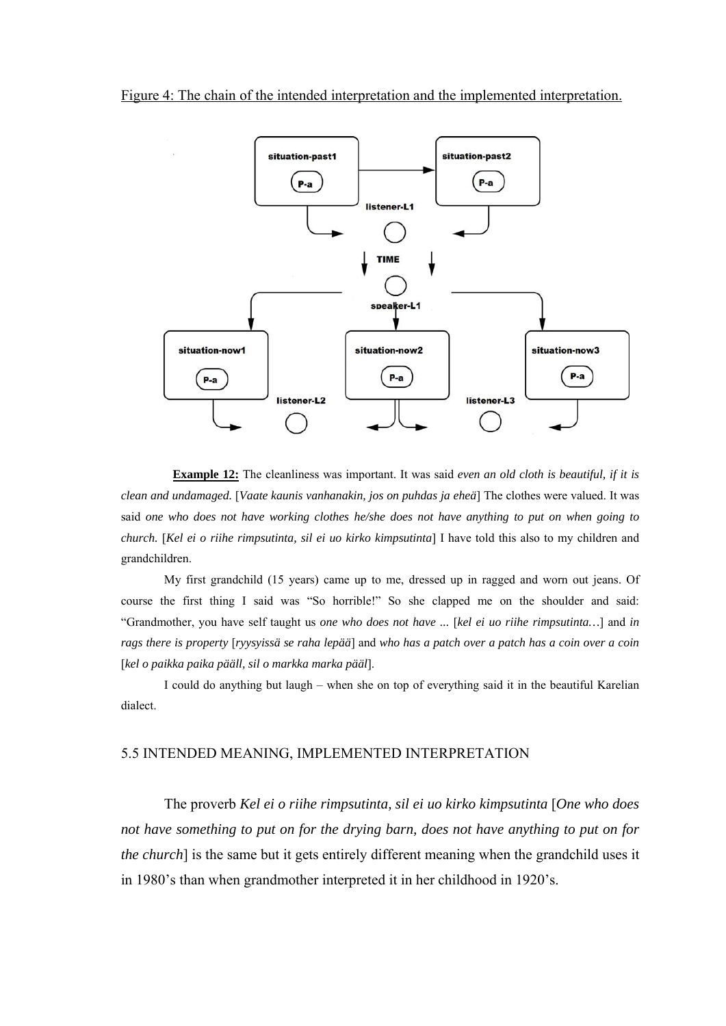

**Example 12:** The cleanliness was important. It was said *even an old cloth is beautiful, if it is clean and undamaged.* [*Vaate kaunis vanhanakin, jos on puhdas ja eheä*] The clothes were valued. It was said *one who does not have working clothes he/she does not have anything to put on when going to church.* [*Kel ei o riihe rimpsutinta, sil ei uo kirko kimpsutinta*] I have told this also to my children and grandchildren.

My first grandchild (15 years) came up to me, dressed up in ragged and worn out jeans. Of course the first thing I said was "So horrible!" So she clapped me on the shoulder and said: "Grandmother, you have self taught us *one who does not have ...* [*kel ei uo riihe rimpsutinta…*] and *in rags there is property* [*ryysyissä se raha lepää*] and *who has a patch over a patch has a coin over a coin*  [*kel o paikka paika pääll, sil o markka marka pääl*].

I could do anything but laugh – when she on top of everything said it in the beautiful Karelian dialect.

## 5.5 INTENDED MEANING, IMPLEMENTED INTERPRETATION

The proverb *Kel ei o riihe rimpsutinta, sil ei uo kirko kimpsutinta* [*One who does not have something to put on for the drying barn, does not have anything to put on for the church*] is the same but it gets entirely different meaning when the grandchild uses it in 1980's than when grandmother interpreted it in her childhood in 1920's.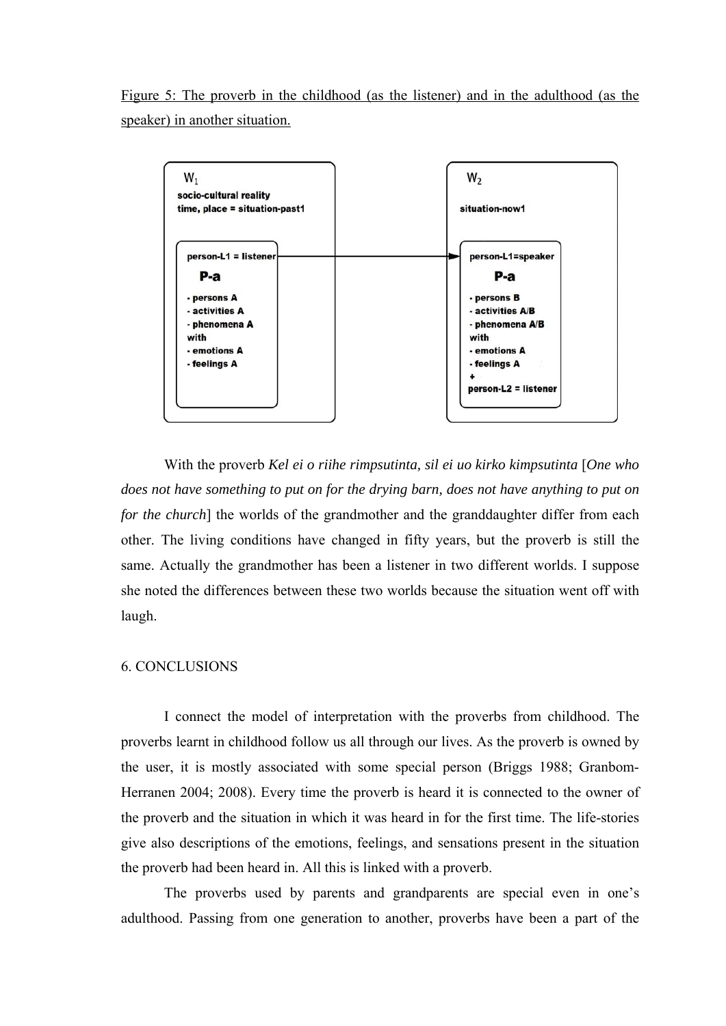Figure 5: The proverb in the childhood (as the listener) and in the adulthood (as the speaker) in another situation.



With the proverb *Kel ei o riihe rimpsutinta, sil ei uo kirko kimpsutinta* [*One who does not have something to put on for the drying barn, does not have anything to put on for the church*] the worlds of the grandmother and the granddaughter differ from each other. The living conditions have changed in fifty years, but the proverb is still the same. Actually the grandmother has been a listener in two different worlds. I suppose she noted the differences between these two worlds because the situation went off with laugh.

## 6. CONCLUSIONS

I connect the model of interpretation with the proverbs from childhood. The proverbs learnt in childhood follow us all through our lives. As the proverb is owned by the user, it is mostly associated with some special person (Briggs 1988; Granbom-Herranen 2004; 2008). Every time the proverb is heard it is connected to the owner of the proverb and the situation in which it was heard in for the first time. The life-stories give also descriptions of the emotions, feelings, and sensations present in the situation the proverb had been heard in. All this is linked with a proverb.

The proverbs used by parents and grandparents are special even in one's adulthood. Passing from one generation to another, proverbs have been a part of the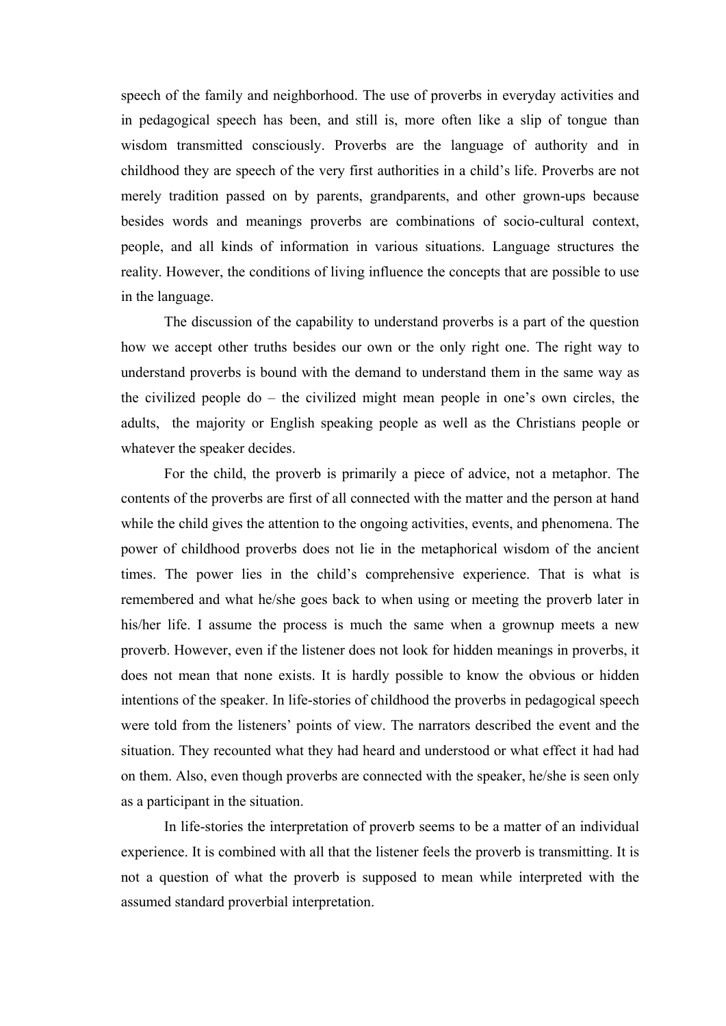speech of the family and neighborhood. The use of proverbs in everyday activities and in pedagogical speech has been, and still is, more often like a slip of tongue than wisdom transmitted consciously. Proverbs are the language of authority and in childhood they are speech of the very first authorities in a child's life. Proverbs are not merely tradition passed on by parents, grandparents, and other grown-ups because besides words and meanings proverbs are combinations of socio-cultural context, people, and all kinds of information in various situations. Language structures the reality. However, the conditions of living influence the concepts that are possible to use in the language.

The discussion of the capability to understand proverbs is a part of the question how we accept other truths besides our own or the only right one. The right way to understand proverbs is bound with the demand to understand them in the same way as the civilized people do – the civilized might mean people in one's own circles, the adults, the majority or English speaking people as well as the Christians people or whatever the speaker decides.

For the child, the proverb is primarily a piece of advice, not a metaphor. The contents of the proverbs are first of all connected with the matter and the person at hand while the child gives the attention to the ongoing activities, events, and phenomena. The power of childhood proverbs does not lie in the metaphorical wisdom of the ancient times. The power lies in the child's comprehensive experience. That is what is remembered and what he/she goes back to when using or meeting the proverb later in his/her life. I assume the process is much the same when a grownup meets a new proverb. However, even if the listener does not look for hidden meanings in proverbs, it does not mean that none exists. It is hardly possible to know the obvious or hidden intentions of the speaker. In life-stories of childhood the proverbs in pedagogical speech were told from the listeners' points of view. The narrators described the event and the situation. They recounted what they had heard and understood or what effect it had had on them. Also, even though proverbs are connected with the speaker, he/she is seen only as a participant in the situation.

In life-stories the interpretation of proverb seems to be a matter of an individual experience. It is combined with all that the listener feels the proverb is transmitting. It is not a question of what the proverb is supposed to mean while interpreted with the assumed standard proverbial interpretation.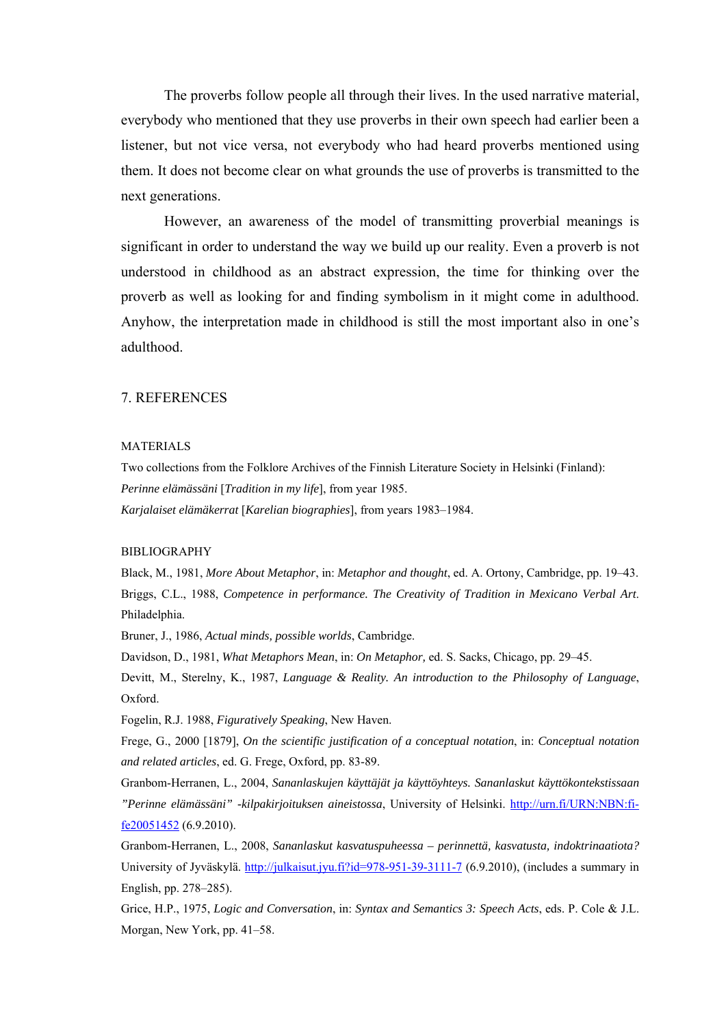The proverbs follow people all through their lives. In the used narrative material, everybody who mentioned that they use proverbs in their own speech had earlier been a listener, but not vice versa, not everybody who had heard proverbs mentioned using them. It does not become clear on what grounds the use of proverbs is transmitted to the next generations.

However, an awareness of the model of transmitting proverbial meanings is significant in order to understand the way we build up our reality. Even a proverb is not understood in childhood as an abstract expression, the time for thinking over the proverb as well as looking for and finding symbolism in it might come in adulthood. Anyhow, the interpretation made in childhood is still the most important also in one's adulthood.

#### 7. REFERENCES

#### MATERIALS

Two collections from the Folklore Archives of the Finnish Literature Society in Helsinki (Finland): *Perinne elämässäni* [*Tradition in my life*], from year 1985. *Karjalaiset elämäkerrat* [*Karelian biographies*], from years 1983–1984.

#### BIBLIOGRAPHY

Black, M., 1981, *More About Metaphor*, in: *Metaphor and thought*, ed. A. Ortony, Cambridge, pp. 19–43. Briggs, C.L., 1988, *Competence in performance. The Creativity of Tradition in Mexicano Verbal Art*. Philadelphia.

Bruner, J., 1986, *Actual minds, possible worlds*, Cambridge.

Davidson, D., 1981, *What Metaphors Mean*, in: *On Metaphor,* ed. S. Sacks, Chicago, pp. 29–45.

Devitt, M., Sterelny, K., 1987, *Language & Reality. An introduction to the Philosophy of Language*, Oxford.

Fogelin, R.J. 1988, *Figuratively Speaking*, New Haven.

Frege, G., 2000 [1879], *On the scientific justification of a conceptual notation*, in: *Conceptual notation and related articles*, ed. G. Frege, Oxford, pp. 83-89.

Granbom-Herranen, L., 2004, *Sananlaskujen käyttäjät ja käyttöyhteys. Sananlaskut käyttökontekstissaan "Perinne elämässäni" -kilpakirjoituksen aineistossa*, University of Helsinki. http://urn.fi/URN:NBN:fife20051452 (6.9.2010).

Granbom-Herranen, L., 2008, *Sananlaskut kasvatuspuheessa – perinnettä, kasvatusta, indoktrinaatiota?* University of Jyväskylä. http://julkaisut.jyu.fi?id=978-951-39-3111-7 (6.9.2010), (includes a summary in English, pp. 278–285).

Grice, H.P., 1975, *Logic and Conversation*, in: *Syntax and Semantics 3: Speech Acts*, eds. P. Cole & J.L. Morgan, New York, pp. 41–58.